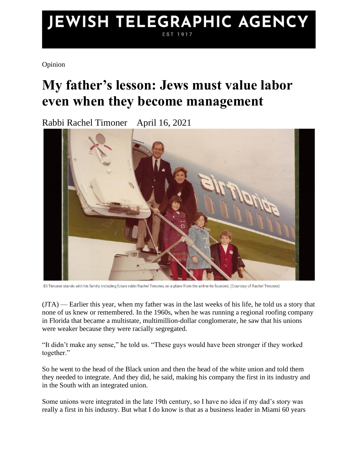## JEWISH TELEGRAPHIC AGENCY EST 1917

Opinion

## **My father's lesson: Jews must value labor even when they become management**

Rabbi Rachel Timoner April 16, 2021



Eli Timoner stands with his family, including future rabbi Rachel Timoner, on a plane from the airline he founded. (Courtesy of Rachel Timoner)

[\(JTA\)](http://jta.org/) — Earlier this year, when my father was in the last weeks of his life, he told us a story that none of us knew or remembered. In the 1960s, when he was running a regional roofing company in Florida that became a multistate, multimillion-dollar conglomerate, he saw that his unions were weaker because they were racially segregated.

"It didn't make any sense," he told us. "These guys would have been stronger if they worked together."

So he went to the head of the Black union and then the head of the white union and told them they needed to integrate. And they did, he said, making his company the first in its industry and in the South with an integrated union.

Some unions were integrated in the late 19th century, so I have no idea if my dad's story was really a first in his industry. But what I do know is that as a business leader in Miami 60 years